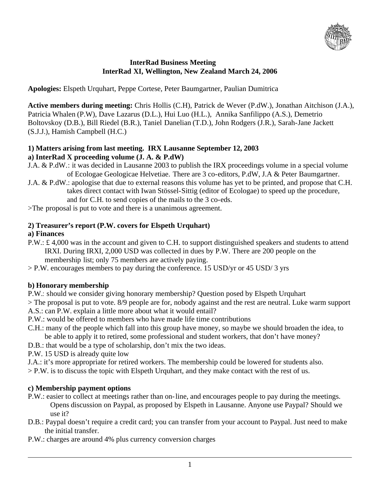

### **InterRad Business Meeting InterRad XI, Wellington, New Zealand March 24, 2006**

**Apologies:** Elspeth Urquhart, Peppe Cortese, Peter Baumgartner, Paulian Dumitrica

**Active members during meeting:** Chris Hollis (C.H), Patrick de Wever (P.dW.), Jonathan Aitchison (J.A.), Patricia Whalen (P.W), Dave Lazarus (D.L.), Hui Luo (H.L.), Annika Sanfilippo (A.S.), Demetrio Boltovskoy (D.B.), Bill Riedel (B.R.), Taniel Danelian (T.D.), John Rodgers (J.R.), Sarah-Jane Jackett (S.J.J.), Hamish Campbell (H.C.)

### **1) Matters arising from last meeting. IRX Lausanne September 12, 2003 a) InterRad X proceeding volume (J. A. & P.dW)**

- J.A. & P.dW.: it was decided in Lausanne 2003 to publish the IRX proceedings volume in a special volume of Ecologae Geologicae Helvetiae. There are 3 co-editors, P.dW, J.A & Peter Baumgartner.
- J.A. & P.dW.: apologise that due to external reasons this volume has yet to be printed, and propose that C.H. takes direct contact with Iwan Stössel-Sittig (editor of Ecologae) to speed up the procedure, and for C.H. to send copies of the mails to the 3 co-eds.
- >The proposal is put to vote and there is a unanimous agreement.

# **2) Treasurer's report (P.W. covers for Elspeth Urquhart)**

# **a) Finances**

- P.W.: £ 4,000 was in the account and given to C.H. to support distinguished speakers and students to attend IRXI. During IRXI, 2,000 USD was collected in dues by P.W. There are 200 people on the membership list; only 75 members are actively paying.
- > P.W. encourages members to pay during the conference. 15 USD/yr or 45 USD/ 3 yrs

# **b) Honorary membership**

- P.W.: should we consider giving honorary membership? Question posed by Elspeth Urquhart
- > The proposal is put to vote. 8/9 people are for, nobody against and the rest are neutral. Luke warm support A.S.: can P.W. explain a little more about what it would entail?
- P.W.: would be offered to members who have made life time contributions
- C.H.: many of the people which fall into this group have money, so maybe we should broaden the idea, to be able to apply it to retired, some professional and student workers, that don't have money?
- D.B.: that would be a type of scholarship, don't mix the two ideas.
- P.W. 15 USD is already quite low
- J.A.: it's more appropriate for retired workers. The membership could be lowered for students also.
- > P.W. is to discuss the topic with Elspeth Urquhart, and they make contact with the rest of us.

# **c) Membership payment options**

- P.W.: easier to collect at meetings rather than on-line, and encourages people to pay during the meetings. Opens discussion on Paypal, as proposed by Elspeth in Lausanne. Anyone use Paypal? Should we use it?
- D.B.: Paypal doesn't require a credit card; you can transfer from your account to Paypal. Just need to make the initial transfer.
- P.W.: charges are around 4% plus currency conversion charges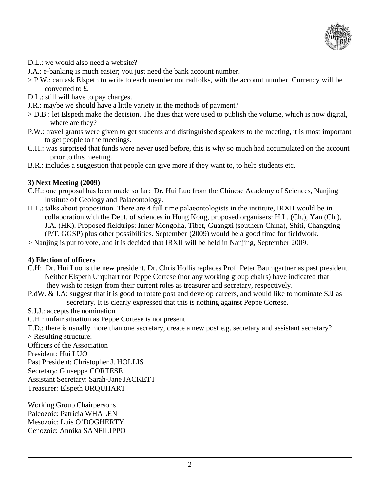

- D.L.: we would also need a website?
- J.A.: e-banking is much easier; you just need the bank account number.
- > P.W.: can ask Elspeth to write to each member not radfolks, with the account number. Currency will be converted to £.
- D.L.: still will have to pay charges.
- J.R.: maybe we should have a little variety in the methods of payment?
- > D.B.: let Elspeth make the decision. The dues that were used to publish the volume, which is now digital, where are they?
- P.W.: travel grants were given to get students and distinguished speakers to the meeting, it is most important to get people to the meetings.
- C.H.: was surprised that funds were never used before, this is why so much had accumulated on the account prior to this meeting.
- B.R.: includes a suggestion that people can give more if they want to, to help students etc.

#### **3) Next Meeting (2009)**

- C.H.: one proposal has been made so far: Dr. Hui Luo from the Chinese Academy of Sciences, Nanjing Institute of Geology and Palaeontology.
- H.L.: talks about proposition. There are 4 full time palaeontologists in the institute, IRXII would be in collaboration with the Dept. of sciences in Hong Kong, proposed organisers: H.L. (Ch.), Yan (Ch.), J.A. (HK). Proposed fieldtrips: Inner Mongolia, Tibet, Guangxi (southern China), Shiti, Changxing (P/T, GGSP) plus other possibilities. September (2009) would be a good time for fieldwork.
- > Nanjing is put to vote, and it is decided that IRXII will be held in Nanjing, September 2009.

#### **4) Election of officers**

- C.H: Dr. Hui Luo is the new president. Dr. Chris Hollis replaces Prof. Peter Baumgartner as past president. Neither Elspeth Urquhart nor Peppe Cortese (nor any working group chairs) have indicated that they wish to resign from their current roles as treasurer and secretary, respectively.
- P.dW. & J.A: suggest that it is good to rotate post and develop careers, and would like to nominate SJJ as secretary. It is clearly expressed that this is nothing against Peppe Cortese.
- S.J.J.: accepts the nomination
- C.H.: unfair situation as Peppe Cortese is not present.

T.D.: there is usually more than one secretary, create a new post e.g. secretary and assistant secretary?

> Resulting structure:

Officers of the Association

President: Hui LUO

Past President: Christopher J. HOLLIS

Secretary: Giuseppe CORTESE

Assistant Secretary: Sarah-Jane JACKETT

Treasurer: Elspeth URQUHART

Working Group Chairpersons Paleozoic: Patricia WHALEN Mesozoic: Luis O'DOGHERTY Cenozoic: Annika SANFILIPPO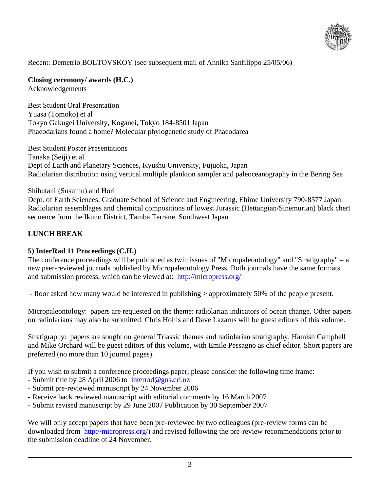

Recent: Demetrio BOLTOVSKOY (see subsequent mail of Annika Sanfilippo 25/05/06)

**Closing ceremony/ awards (H.C.)**  Acknowledgements

Best Student Oral Presentation Yuasa (Tomoko) et al Tokyo Gakugei University, Koganei, Tokyo 184-8501 Japan Phaeodarians found a home? Molecular phylogenetic study of Phaeodarea

Best Student Poster Presentations Tanaka (Seiji) et al. Dept of Earth and Planetary Sciences, Kyushu University, Fujuoka, Japan Radiolarian distribution using vertical multiple plankton sampler and paleoceanography in the Bering Sea

#### Shibutani (Susumu) and Hori

Dept. of Earth Sciences, Graduate School of Science and Engineering, Ehime University 790-8577 Japan Radiolarian assemblages and chemical compositions of lowest Jurassic (Hettangian/Sinemurian) black chert sequence from the Ikuno District, Tamba Terrane, Southwest Japan

# **LUNCH BREAK**

#### **5) InterRad 11 Proceedings (C.H.)**

The conference proceedings will be published as twin issues of "Micropaleontology" and "Stratigraphy" – a new peer-reviewed journals published by Micropaleontology Press. Both journals have the same formats and submission process, which can be viewed at: http://micropress.org/

- floor asked how many would be interested in publishing > approximately 50% of the people present.

Micropaleontology: papers are requested on the theme: radiolarian indicators of ocean change. Other papers on radiolarians may also be submitted. Chris Hollis and Dave Lazarus will be guest editors of this volume.

Stratigraphy: papers are sought on general Triassic themes and radiolarian stratigraphy. Hamish Campbell and Mike Orchard will be guest editors of this volume, with Emile Pessagno as chief editor. Short papers are preferred (no more than 10 journal pages).

If you wish to submit a conference proceedings paper, please consider the following time frame:

- Submit title by 28 April 2006 to interrad@gns.cri.nz
- Submit pre-reviewed manuscript by 24 November 2006
- Receive back reviewed manuscript with editorial comments by 16 March 2007
- Submit revised manuscript by 29 June 2007 Publication by 30 September 2007

We will only accept papers that have been pre-reviewed by two colleagues (pre-review forms can be downloaded from http://micropress.org/) and revised following the pre-review recommendations prior to the submission deadline of 24 November.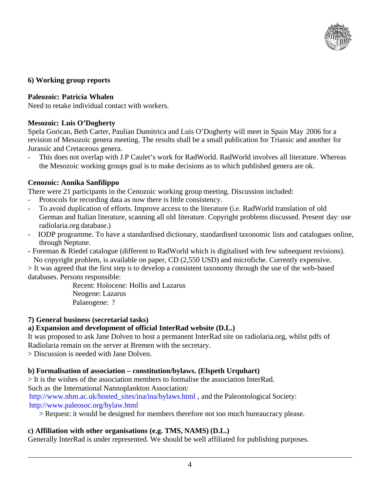

#### **6) Working group reports**

#### **Paleozoic: Patricia Whalen**

Need to retake individual contact with workers.

### **Mesozoic: Luis O'Dogherty**

Spela Gorican, Beth Carter, Paulian Dumitrica and Luis O'Dogherty will meet in Spain May 2006 for a revision of Mesozoic genera meeting. The results shall be a small publication for Triassic and another for Jurassic and Cretaceous genera.

This does not overlap with J.P Caulet's work for RadWorld. RadWorld involves all literature. Whereas the Mesozoic working groups goal is to make decisions as to which published genera are ok.

### **Cenozoic: Annika Sanfilippo**

There were 21 participants in the Cenozoic working group meeting. Discussion included:

- Protocols for recording data as now there is little consistency.
- To avoid duplication of efforts. Improve access to the literature (i.e. RadWorld translation of old German and Italian literature, scanning all old literature. Copyright problems discussed. Present day: use radiolaria.org database.)
- IODP programme. To have a standardised dictionary, standardised taxonomic lists and catalogues online, through Neptune.
- Foreman & Riedel catalogue (different to RadWorld which is digitalised with few subsequent revisions). No copyright problem, is available on paper, CD (2,550 USD) and microfiche. Currently expensive.

> It was agreed that the first step is to develop a consistent taxonomy through the use of the web-based databases. Persons responsible:

> Recent: Holocene: Hollis and Lazarus Neogene: Lazarus Palaeogene: ?

#### **7) General business (secretarial tasks)**

# **a) Expansion and development of official InterRad website (D.L.)**

It was proposed to ask Jane Dolven to host a permanent InterRad site on radiolaria.org, whilst pdfs of Radiolaria remain on the server at Bremen with the secretary.

> Discussion is needed with Jane Dolven.

#### **b) Formalisation of association – constitution/bylaws. (Elspeth Urquhart)**

> It is the wishes of the association members to formalise the association InterRad.

Such as the International Nannoplankton Association:

http://www.nhm.ac.uk/hosted\_sites/ina/ina/bylaws.html, and the Paleontological Society: http://www.paleosoc.org/bylaw.html

> Request: it would be designed for members therefore not too much bureaucracy please.

# **c) Affiliation with other organisations (e.g. TMS, NAMS) (D.L.)**

Generally InterRad is under represented. We should be well affiliated for publishing purposes.